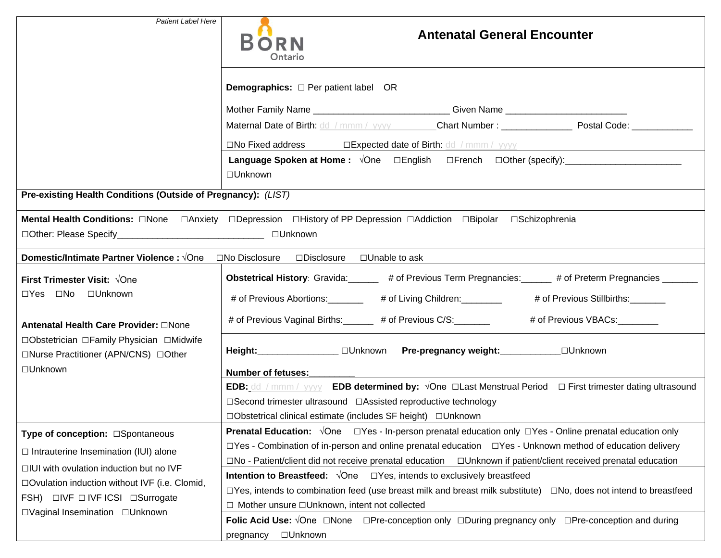| <b>Patient Label Here</b>                                                                                                                                             |                                                                                                                                            |  |
|-----------------------------------------------------------------------------------------------------------------------------------------------------------------------|--------------------------------------------------------------------------------------------------------------------------------------------|--|
|                                                                                                                                                                       | <b>Antenatal General Encounter</b><br><b>BORN</b><br>Ontario                                                                               |  |
|                                                                                                                                                                       | <b>Demographics:</b> $\Box$ Per patient label OR                                                                                           |  |
|                                                                                                                                                                       | Mother Family Name _____________________________Given Name _____________________                                                           |  |
|                                                                                                                                                                       | Maternal Date of Birth: dd / mmm / yyyy Chart Number : _________________________ Postal Code: _______________                              |  |
|                                                                                                                                                                       | □No Fixed address □Expected date of Birth: dd / mmm / yyyy                                                                                 |  |
|                                                                                                                                                                       |                                                                                                                                            |  |
|                                                                                                                                                                       | □Unknown                                                                                                                                   |  |
| Pre-existing Health Conditions (Outside of Pregnancy): (LIST)                                                                                                         |                                                                                                                                            |  |
| □Other: Please Specify___________________________________ □Unknown                                                                                                    |                                                                                                                                            |  |
| <b>Domestic/Intimate Partner Violence :</b> √One □No Disclosure □Disclosure □Unable to ask                                                                            |                                                                                                                                            |  |
| <b>First Trimester Visit: √One</b><br>□Yes □No □Unknown                                                                                                               |                                                                                                                                            |  |
|                                                                                                                                                                       | # of Previous Abortions: ________ # of Living Children: _______ # of Previous Stillbirths: ______                                          |  |
| Antenatal Health Care Provider: ONone<br>□Obstetrician □Family Physician □Midwife<br>□Nurse Practitioner (APN/CNS) □Other                                             | # of Previous Vaginal Births: ______ # of Previous C/S: _______ # of Previous VBACs: _______                                               |  |
|                                                                                                                                                                       | Height: ________________ □Unknown Pre-pregnancy weight: ___________ □Unknown                                                               |  |
| □Unknown<br><b>Number of fetuses:</b>                                                                                                                                 |                                                                                                                                            |  |
|                                                                                                                                                                       | <b>EDB:</b> dd / mmm / yyyy <b>EDB determined by:</b> $\sqrt{O}$ ne <b>QLast Menstrual Period</b> $\Box$ First trimester dating ultrasound |  |
|                                                                                                                                                                       | □Second trimester ultrasound □Assisted reproductive technology<br>□Obstetrical clinical estimate (includes SF height) □Unknown             |  |
|                                                                                                                                                                       | <b>Prenatal Education:</b> $\sqrt{One}$ $\square Yes$ - In-person prenatal education only $\square Yes$ - Online prenatal education only   |  |
| Type of conception: □Spontaneous<br>$\Box$ Yes - Combination of in-person and online prenatal education $\Box$ Yes - Unknown method of education delivery             |                                                                                                                                            |  |
| $\Box$ Intrauterine Insemination (IUI) alone                                                                                                                          | $\square$ No - Patient/client did not receive prenatal education $\square$ Unknown if patient/client received prenatal education           |  |
| $\Box$ IUI with ovulation induction but no IVF<br>□Ovulation induction without IVF (i.e. Clomid,<br>FSH) □IVF □ IVF ICSI □Surrogate<br>□Vaginal Insemination □Unknown | <b>Intention to Breastfeed:</b> $\sqrt{O}$ ne $\Box$ Yes, intends to exclusively breastfeed                                                |  |
|                                                                                                                                                                       | $\Box$ Yes, intends to combination feed (use breast milk and breast milk substitute) $\Box$ No, does not intend to breastfeed              |  |
|                                                                                                                                                                       | □ Mother unsure □Unknown, intent not collected                                                                                             |  |
|                                                                                                                                                                       | Folic Acid Use: $\sqrt{O}$ ne $\Box$ None $\Box$ Pre-conception only $\Box$ During pregnancy only $\Box$ Pre-conception and during         |  |
|                                                                                                                                                                       | □Unknown<br>pregnancy                                                                                                                      |  |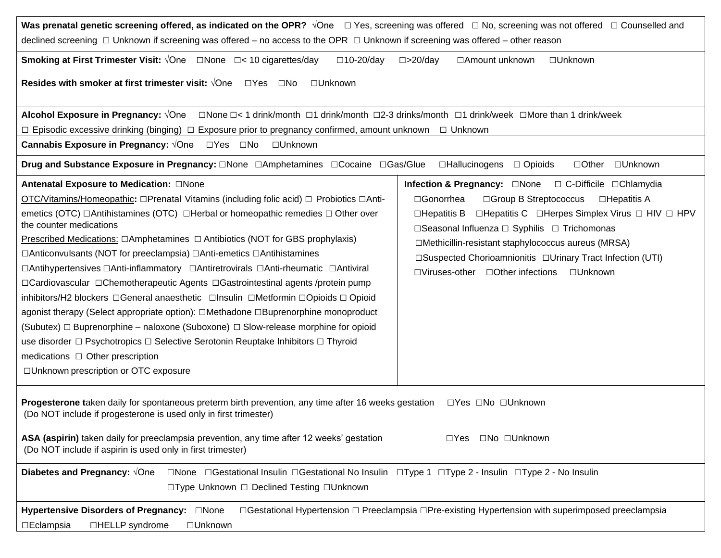| Was prenatal genetic screening offered, as indicated on the OPR? $\sqrt{O}$ ne $\Box$ Yes, screening was offered $\Box$ No, screening was not offered $\Box$ Counselled and<br>declined screening □ Unknown if screening was offered – no access to the OPR □ Unknown if screening was offered – other reason                                                                                                                                                                                                                                                                                                                                                                                                                                                                                                                                                                                                                                                                                                                                                    |                                                                                                                                                                                                                                                                                                                                                                                                                                          |  |  |
|------------------------------------------------------------------------------------------------------------------------------------------------------------------------------------------------------------------------------------------------------------------------------------------------------------------------------------------------------------------------------------------------------------------------------------------------------------------------------------------------------------------------------------------------------------------------------------------------------------------------------------------------------------------------------------------------------------------------------------------------------------------------------------------------------------------------------------------------------------------------------------------------------------------------------------------------------------------------------------------------------------------------------------------------------------------|------------------------------------------------------------------------------------------------------------------------------------------------------------------------------------------------------------------------------------------------------------------------------------------------------------------------------------------------------------------------------------------------------------------------------------------|--|--|
| <b>Smoking at First Trimester Visit:</b> $\sqrt{O}$ ne $\Box$ None $\Box$ < 10 cigarettes/day<br>$\square$ 10-20/day<br>$\square$ >20/day<br>□ Amount unknown<br>□Unknown<br>Resides with smoker at first trimester visit: $\sqrt{O}$ ne<br>$\Box Y$ es<br>$\square$ No<br>□Unknown                                                                                                                                                                                                                                                                                                                                                                                                                                                                                                                                                                                                                                                                                                                                                                              |                                                                                                                                                                                                                                                                                                                                                                                                                                          |  |  |
| □None □< 1 drink/month □1 drink/month □2-3 drinks/month □1 drink/week □More than 1 drink/week<br><b>Alcohol Exposure in Pregnancy: √One</b><br>$\Box$ Episodic excessive drinking (binging) $\Box$ Exposure prior to pregnancy confirmed, amount unknown $\Box$ Unknown<br>Cannabis Exposure in Pregnancy: √One □ Yes □ No<br>□Unknown<br>Drug and Substance Exposure in Pregnancy: □None □Amphetamines □Cocaine □Gas/Glue<br>□Hallucinogens<br>□Unknown<br>$\Box$ Opioids<br>$\Box$ Other                                                                                                                                                                                                                                                                                                                                                                                                                                                                                                                                                                       |                                                                                                                                                                                                                                                                                                                                                                                                                                          |  |  |
| Antenatal Exposure to Medication: ONone<br>OTC/Vitamins/Homeopathic: □Prenatal Vitamins (including folic acid) □ Probiotics □Anti-<br>emetics (OTC) $\Box$ Antihistamines (OTC) $\Box$ Herbal or homeopathic remedies $\Box$ Other over<br>the counter medications<br>Prescribed Medications: $\Box$ Amphetamines $\Box$ Antibiotics (NOT for GBS prophylaxis)<br>□Anticonvulsants (NOT for preeclampsia) □Anti-emetics □Antihistamines<br>□Antihypertensives □Anti-inflammatory □Antiretrovirals □Anti-rheumatic □Antiviral<br>□Cardiovascular □Chemotherapeutic Agents □Gastrointestinal agents /protein pump<br>inhibitors/H2 blockers □General anaesthetic □Insulin □Metformin □Opioids □ Opioid<br>agonist therapy (Select appropriate option): □Methadone □Buprenorphine monoproduct<br>(Subutex) $\Box$ Buprenorphine – naloxone (Suboxone) $\Box$ Slow-release morphine for opioid<br>use disorder □ Psychotropics □ Selective Serotonin Reuptake Inhibitors □ Thyroid<br>medications $\Box$ Other prescription<br>□Unknown prescription or OTC exposure | Infection & Pregnancy: □None<br>$\Box$ C-Difficile $\Box$ Chlamydia<br>□Gonorrhea<br>□ Group B Streptococcus<br>□Hepatitis A<br>□Hepatitis C □Herpes Simplex Virus □ HIV □ HPV<br>$\square$ Hepatitis B<br>□Seasonal Influenza □ Syphilis □ Trichomonas<br>□Methicillin-resistant staphylococcus aureus (MRSA)<br>□Suspected Chorioamnionitis □Urinary Tract Infection (UTI)<br>$\Box$ Viruses-other $\Box$ Other infections<br>□Unknown |  |  |
| Progesterone taken daily for spontaneous preterm birth prevention, any time after 16 weeks gestation<br>□Yes □No □Unknown<br>(Do NOT include if progesterone is used only in first trimester)<br>□No □Unknown<br>ASA (aspirin) taken daily for preeclampsia prevention, any time after 12 weeks' gestation<br>$\Box Y$ es<br>(Do NOT include if aspirin is used only in first trimester)                                                                                                                                                                                                                                                                                                                                                                                                                                                                                                                                                                                                                                                                         |                                                                                                                                                                                                                                                                                                                                                                                                                                          |  |  |
| Diabetes and Pregnancy: VOne<br>□None □Gestational Insulin □Gestational No Insulin □Type 1 □Type 2 - Insulin □Type 2 - No Insulin<br>□Type Unknown □ Declined Testing □Unknown<br>□Gestational Hypertension □ Preeclampsia □Pre-existing Hypertension with superimposed preeclampsia<br>Hypertensive Disorders of Pregnancy: <sub>None</sub><br>□HELLP syndrome<br>$\square$ Eclampsia<br>□Unknown                                                                                                                                                                                                                                                                                                                                                                                                                                                                                                                                                                                                                                                               |                                                                                                                                                                                                                                                                                                                                                                                                                                          |  |  |